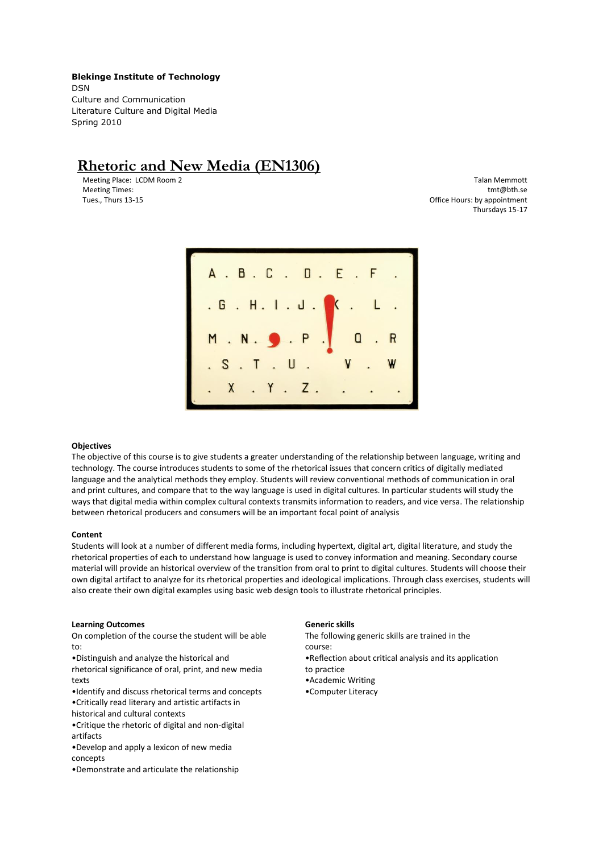**Blekinge Institute of Technology** DSN Culture and Communication Literature Culture and Digital Media Spring 2010

# **Rhetoric and New Media (EN1306)**

Meeting Place: LCDM Room 2 Meeting Times: Tues., Thurs 13-15

Talan Memmott tmt@bth.se Office Hours: by appointment Thursdays 15-17



## **Objectives**

The objective of this course is to give students a greater understanding of the relationship between language, writing and technology. The course introduces students to some of the rhetorical issues that concern critics of digitally mediated language and the analytical methods they employ. Students will review conventional methods of communication in oral and print cultures, and compare that to the way language is used in digital cultures. In particular students will study the ways that digital media within complex cultural contexts transmits information to readers, and vice versa. The relationship between rhetorical producers and consumers will be an important focal point of analysis

#### **Content**

Students will look at a number of different media forms, including hypertext, digital art, digital literature, and study the rhetorical properties of each to understand how language is used to convey information and meaning. Secondary course material will provide an historical overview of the transition from oral to print to digital cultures. Students will choose their own digital artifact to analyze for its rhetorical properties and ideological implications. Through class exercises, students will also create their own digital examples using basic web design tools to illustrate rhetorical principles.

## **Learning Outcomes**

On completion of the course the student will be able to:

•Distinguish and analyze the historical and

rhetorical significance of oral, print, and new media texts

•Identify and discuss rhetorical terms and concepts

•Critically read literary and artistic artifacts in

historical and cultural contexts

•Critique the rhetoric of digital and non-digital artifacts

•Develop and apply a lexicon of new media concepts

•Demonstrate and articulate the relationship

#### **Generic skills**

The following generic skills are trained in the course: •Reflection about critical analysis and its application to practice •Academic Writing •Computer Literacy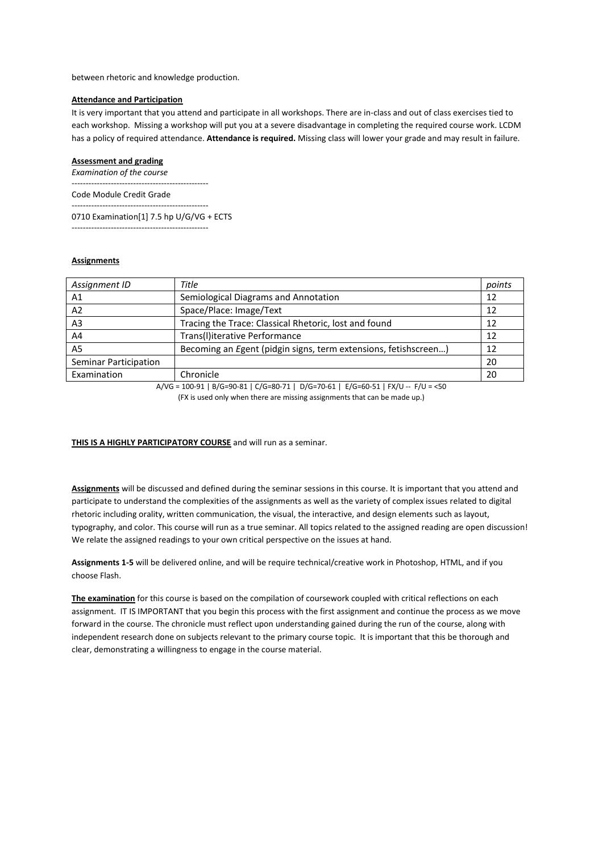between rhetoric and knowledge production.

## **Attendance and Participation**

It is very important that you attend and participate in all workshops. There are in-class and out of class exercises tied to each workshop. Missing a workshop will put you at a severe disadvantage in completing the required course work. LCDM has a policy of required attendance. **Attendance is required.** Missing class will lower your grade and may result in failure.

## **Assessment and grading**

*Examination of the course* -------------------------------------------------

Code Module Credit Grade

------------------------------------------------- 0710 Examination[1] 7.5 hp U/G/VG + ECTS -------------------------------------------------

## **Assignments**

| Assignment ID         | Title                                                           | points |
|-----------------------|-----------------------------------------------------------------|--------|
| A1                    | Semiological Diagrams and Annotation                            |        |
| A <sub>2</sub>        | Space/Place: Image/Text                                         | 12     |
| A <sub>3</sub>        | Tracing the Trace: Classical Rhetoric, lost and found           |        |
| A4                    | Trans(I)iterative Performance                                   | 12     |
| A <sub>5</sub>        | Becoming an Egent (pidgin signs, term extensions, fetishscreen) |        |
| Seminar Participation |                                                                 | 20     |
| Examination           | Chronicle                                                       | 20     |

A/VG = 100-91 | B/G=90-81 | C/G=80-71 | D/G=70-61 | E/G=60-51 | FX/U -- F/U = <50

(FX is used only when there are missing assignments that can be made up.)

## **THIS IS A HIGHLY PARTICIPATORY COURSE** and will run as a seminar.

**Assignments** will be discussed and defined during the seminar sessions in this course. It is important that you attend and participate to understand the complexities of the assignments as well as the variety of complex issues related to digital rhetoric including orality, written communication, the visual, the interactive, and design elements such as layout, typography, and color. This course will run as a true seminar. All topics related to the assigned reading are open discussion! We relate the assigned readings to your own critical perspective on the issues at hand.

**Assignments 1-5** will be delivered online, and will be require technical/creative work in Photoshop, HTML, and if you choose Flash.

**The examination** for this course is based on the compilation of coursework coupled with critical reflections on each assignment. IT IS IMPORTANT that you begin this process with the first assignment and continue the process as we move forward in the course. The chronicle must reflect upon understanding gained during the run of the course, along with independent research done on subjects relevant to the primary course topic. It is important that this be thorough and clear, demonstrating a willingness to engage in the course material.